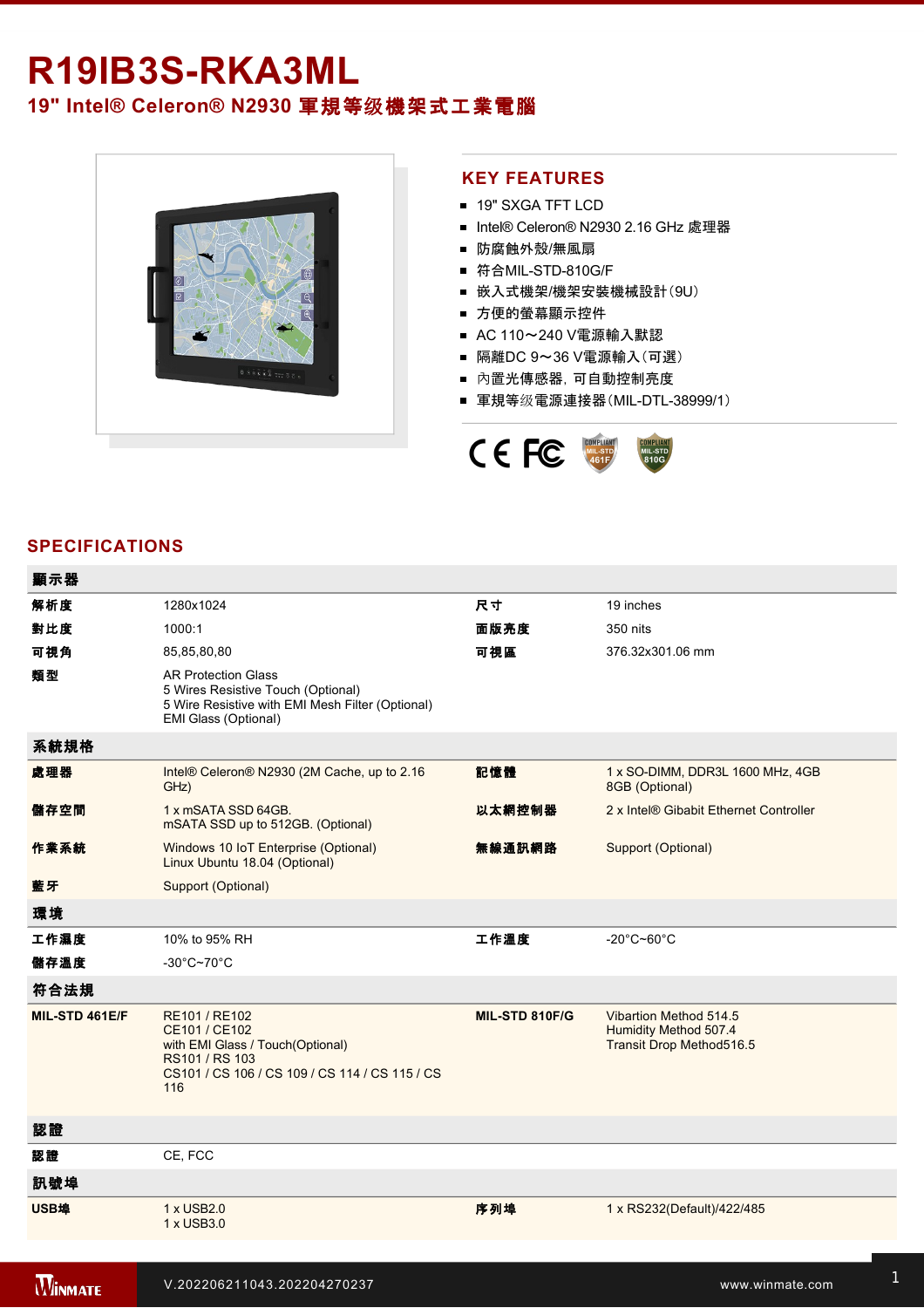# R19IB3S-RKA3ML **19" Intel® Celeron® N2930** 軍規等级機架式工業電腦



#### **KEY FEATURES**

- 19" SXGA TFT LCD
- Intel® Celeron® N2930 2.16 GHz 處理器
- 防腐蝕外殼/無風扇
- 符合MIL-STD-810G/F
- 嵌入式機架/機架安裝機械設計(9U)
- 方便的螢幕顯示控件
- AC 110~240 V電源輸入默認
- 隔離DC 9~36 V電源輸入(可選)
- 內置光傳感器,可自動控制亮度
- 軍規等级電源連接器(MIL-DTL-38999/1)



## **SPECIFICATIONS**

| 顯示器            |                                                                                                                                               |                |                                                                             |
|----------------|-----------------------------------------------------------------------------------------------------------------------------------------------|----------------|-----------------------------------------------------------------------------|
| 解析度            | 1280x1024                                                                                                                                     | 尺寸             | 19 inches                                                                   |
| 對比度            | 1000:1                                                                                                                                        | 面版亮度           | 350 nits                                                                    |
| 可視角            | 85,85,80,80                                                                                                                                   | 可視區            | 376.32x301.06 mm                                                            |
| 類型             | <b>AR Protection Glass</b><br>5 Wires Resistive Touch (Optional)<br>5 Wire Resistive with EMI Mesh Filter (Optional)<br>EMI Glass (Optional)  |                |                                                                             |
| 系統規格           |                                                                                                                                               |                |                                                                             |
| 處理器            | Intel® Celeron® N2930 (2M Cache, up to 2.16<br>GHz)                                                                                           | 記憶體            | 1 x SO-DIMM, DDR3L 1600 MHz, 4GB<br>8GB (Optional)                          |
| 儲存空間           | 1 x mSATA SSD 64GB.<br>mSATA SSD up to 512GB. (Optional)                                                                                      | 以太網控制器         | 2 x Intel® Gibabit Ethernet Controller                                      |
| 作業系統           | Windows 10 IoT Enterprise (Optional)<br>Linux Ubuntu 18.04 (Optional)                                                                         | 無線通訊網路         | Support (Optional)                                                          |
| 藍牙             | Support (Optional)                                                                                                                            |                |                                                                             |
| 環境             |                                                                                                                                               |                |                                                                             |
| 工作濕度           | 10% to 95% RH                                                                                                                                 | 工作溫度           | $-20^{\circ}$ C~60 $^{\circ}$ C                                             |
| 儲存溫度           | $-30^{\circ}$ C~70 $^{\circ}$ C                                                                                                               |                |                                                                             |
| 符合法規           |                                                                                                                                               |                |                                                                             |
| MIL-STD 461E/F | RE101 / RE102<br>CE101 / CE102<br>with EMI Glass / Touch(Optional)<br>RS101 / RS 103<br>CS101 / CS 106 / CS 109 / CS 114 / CS 115 / CS<br>116 | MIL-STD 810F/G | Vibartion Method 514.5<br>Humidity Method 507.4<br>Transit Drop Method516.5 |
| 認證             |                                                                                                                                               |                |                                                                             |
| 認證             | CE, FCC                                                                                                                                       |                |                                                                             |
| 訊號埠            |                                                                                                                                               |                |                                                                             |
| USB埠           | 1 x USB2.0<br>1 x USB3.0                                                                                                                      | 序列埠            | 1 x RS232(Default)/422/485                                                  |